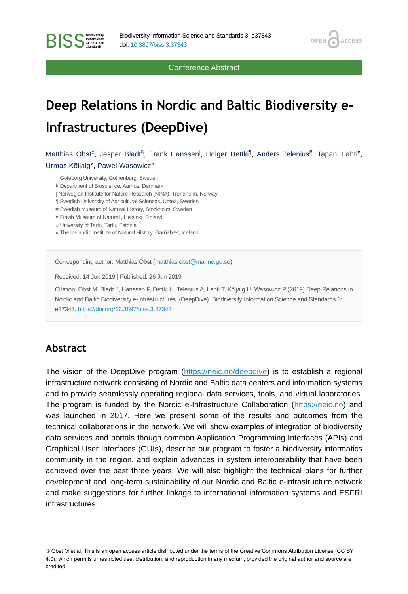Conference Abstract

OPEN<sub>6</sub>

**ACCESS** 

# **Deep Relations in Nordic and Baltic Biodiversity e-Infrastructures (DeepDive)**

Matthias Obst<sup>‡</sup>, Jesper Bladt<sup>§</sup>, Frank Hanssen<sup>|</sup>, Holger Dettki<sup>¶</sup>, Anders Telenius#, Tapani Lahti<sup>a</sup>, Urmas Kõljalg<sup>«</sup>, Pawel Wasowicz<sup>»</sup>

‡ Göteborg University, Gothenburg, Sweden

§ Department of Bioscience, Aarhus, Denmark

| Norwegian Institute for Nature Research (NINA), Trondheim, Norway

¶ Swedish University of Agricultural Sciences, Umeå, Sweden

# Swedish Museum of Natural History, Stockholm, Sweden

¤ Finish Museum of Natural , Helsinki, Finland

« University of Tartu, Tartu, Estonia

**BISS** Steince and

» The Icelandic Institute of Natural History, Garðabær, Iceland

Corresponding author: Matthias Obst ([matthias.obst@marine.gu.se\)](mailto:matthias.obst@marine.gu.se)

Received: 14 Jun 2019 | Published: 26 Jun 2019

Citation: Obst M, Bladt J, Hanssen F, Dettki H, Telenius A, Lahti T, Kõljalg U, Wasowicz P (2019) Deep Relations in Nordic and Baltic Biodiversity e-Infrastructures (DeepDive). Biodiversity Information Science and Standards 3: e37343.<https://doi.org/10.3897/biss.3.37343>

#### **Abstract**

The vision of the DeepDive program ([https://neic.no/deepdive\)](https://neic.no/deepdive) is to establish a regional infrastructure network consisting of Nordic and Baltic data centers and information systems and to provide seamlessly operating regional data services, tools, and virtual laboratories. The program is funded by the Nordic e-Infrastructure Collaboration (<https://neic.no>) and was launched in 2017. Here we present some of the results and outcomes from the technical collaborations in the network. We will show examples of integration of biodiversity data services and portals though common Application Programming Interfaces (APIs) and Graphical User Interfaces (GUIs), describe our program to foster a biodiversity informatics community in the region, and explain advances in system interoperability that have been achieved over the past three years. We will also highlight the technical plans for further development and long-term sustainability of our Nordic and Baltic e-infrastructure network and make suggestions for further linkage to international information systems and ESFRI infrastructures.

© Obst M et al. This is an open access article distributed under the terms of the Creative Commons Attribution License (CC BY 4.0), which permits unrestricted use, distribution, and reproduction in any medium, provided the original author and source are credited.